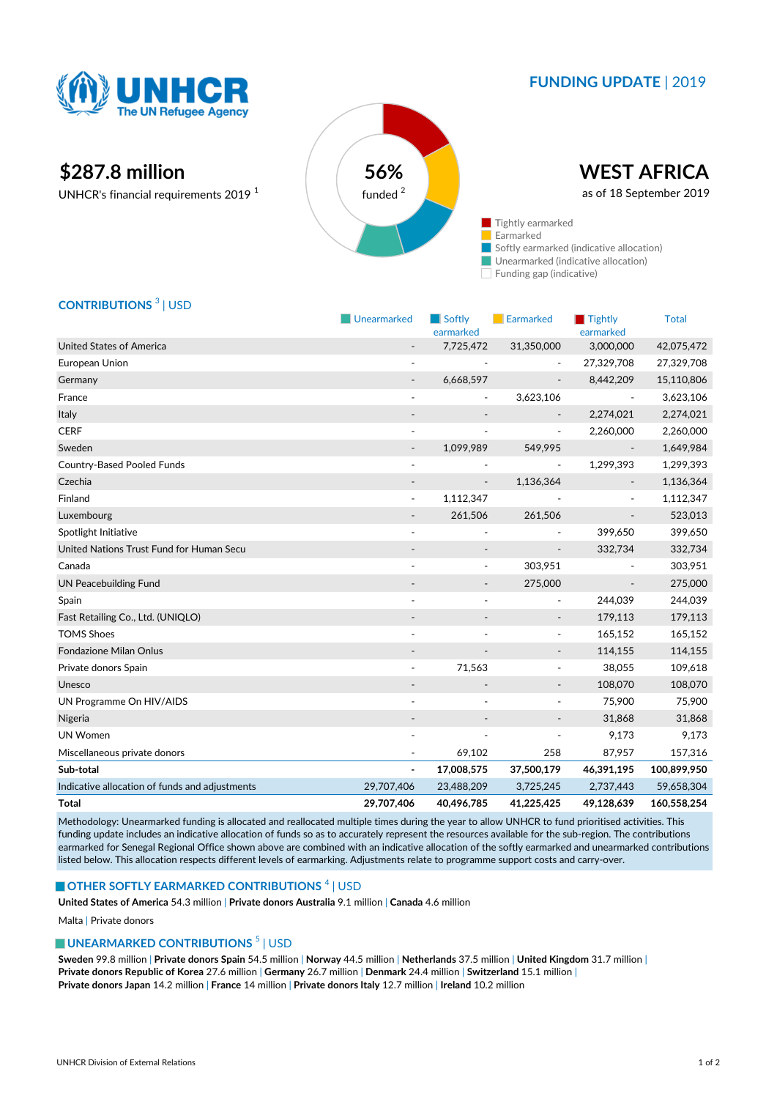

## **FUNDING UPDATE** | 2019

# **\$287.8 million 56%**

UNHCR's financial requirements 2019 <sup>1</sup>



Funding gap (indicative)

## **CONTRIBUTIONS** <sup>3</sup> | USD

|                                                | Unearmarked              | Softly<br>earmarked      | Earmarked                | $\blacksquare$ Tightly<br>earmarked | <b>Total</b> |
|------------------------------------------------|--------------------------|--------------------------|--------------------------|-------------------------------------|--------------|
| <b>United States of America</b>                |                          | 7,725,472                | 31,350,000               | 3,000,000                           | 42,075,472   |
| European Union                                 | $\sim$                   |                          |                          | 27,329,708                          | 27,329,708   |
| Germany                                        | $\overline{\phantom{a}}$ | 6,668,597                | $\overline{\phantom{a}}$ | 8,442,209                           | 15,110,806   |
| France                                         | $\sim$                   | $\overline{\phantom{a}}$ | 3,623,106                | $\overline{\phantom{a}}$            | 3,623,106    |
| Italy                                          |                          |                          |                          | 2,274,021                           | 2,274,021    |
| <b>CERF</b>                                    |                          |                          | $\overline{\phantom{a}}$ | 2,260,000                           | 2,260,000    |
| Sweden                                         |                          | 1,099,989                | 549,995                  |                                     | 1,649,984    |
| <b>Country-Based Pooled Funds</b>              | $\overline{\phantom{a}}$ | ٠                        | $\overline{\phantom{a}}$ | 1,299,393                           | 1,299,393    |
| Czechia                                        |                          |                          | 1,136,364                |                                     | 1,136,364    |
| Finland                                        | $\overline{\phantom{a}}$ | 1,112,347                |                          |                                     | 1,112,347    |
| Luxembourg                                     |                          | 261,506                  | 261,506                  |                                     | 523,013      |
| Spotlight Initiative                           | $\overline{\phantom{a}}$ |                          |                          | 399,650                             | 399,650      |
| United Nations Trust Fund for Human Secu       |                          |                          |                          | 332,734                             | 332,734      |
| Canada                                         |                          |                          | 303,951                  |                                     | 303,951      |
| <b>UN Peacebuilding Fund</b>                   |                          | $\overline{\phantom{a}}$ | 275,000                  | $\overline{\phantom{a}}$            | 275,000      |
| Spain                                          |                          |                          | $\sim$                   | 244,039                             | 244,039      |
| Fast Retailing Co., Ltd. (UNIQLO)              |                          |                          | $\overline{\phantom{a}}$ | 179,113                             | 179,113      |
| <b>TOMS Shoes</b>                              |                          |                          | $\overline{\phantom{a}}$ | 165,152                             | 165,152      |
| <b>Fondazione Milan Onlus</b>                  |                          |                          | $\overline{\phantom{a}}$ | 114,155                             | 114,155      |
| Private donors Spain                           | $\overline{\phantom{a}}$ | 71,563                   | $\overline{\phantom{a}}$ | 38,055                              | 109,618      |
| Unesco                                         |                          |                          | $\overline{\phantom{a}}$ | 108,070                             | 108,070      |
| UN Programme On HIV/AIDS                       | $\blacksquare$           |                          | $\overline{\phantom{a}}$ | 75,900                              | 75,900       |
| Nigeria                                        |                          | $\overline{\phantom{a}}$ | $\overline{\phantom{m}}$ | 31,868                              | 31,868       |
| <b>UN Women</b>                                |                          |                          | ٠                        | 9,173                               | 9,173        |
| Miscellaneous private donors                   |                          | 69,102                   | 258                      | 87,957                              | 157,316      |
| Sub-total                                      | ۰                        | 17,008,575               | 37,500,179               | 46,391,195                          | 100,899,950  |
| Indicative allocation of funds and adjustments | 29,707,406               | 23,488,209               | 3,725,245                | 2,737,443                           | 59,658,304   |
| <b>Total</b>                                   | 29,707,406               | 40,496,785               | 41,225,425               | 49,128,639                          | 160,558,254  |

Methodology: Unearmarked funding is allocated and reallocated multiple times during the year to allow UNHCR to fund prioritised activities. This funding update includes an indicative allocation of funds so as to accurately represent the resources available for the sub-region. The contributions earmarked for Senegal Regional Office shown above are combined with an indicative allocation of the softly earmarked and unearmarked contributions listed below. This allocation respects different levels of earmarking. Adjustments relate to programme support costs and carry-over.

#### **OTHER SOFTLY EARMARKED CONTRIBUTIONS**  $^4$  | USD

**United States of America** 54.3 million | **Private donors Australia** 9.1 million | **Canada** 4.6 million

Malta | Private donors

#### **UNEARMARKED CONTRIBUTIONS<sup>5</sup> | USD**

**Sweden** 99.8 million | **Private donors Spain** 54.5 million | **Norway** 44.5 million | **Netherlands** 37.5 million | **United Kingdom** 31.7 million | **Private donors Republic of Korea** 27.6 million | **Germany** 26.7 million | **Denmark** 24.4 million | **Switzerland** 15.1 million | **Private donors Japan** 14.2 million | **France** 14 million | **Private donors Italy** 12.7 million | **Ireland** 10.2 million